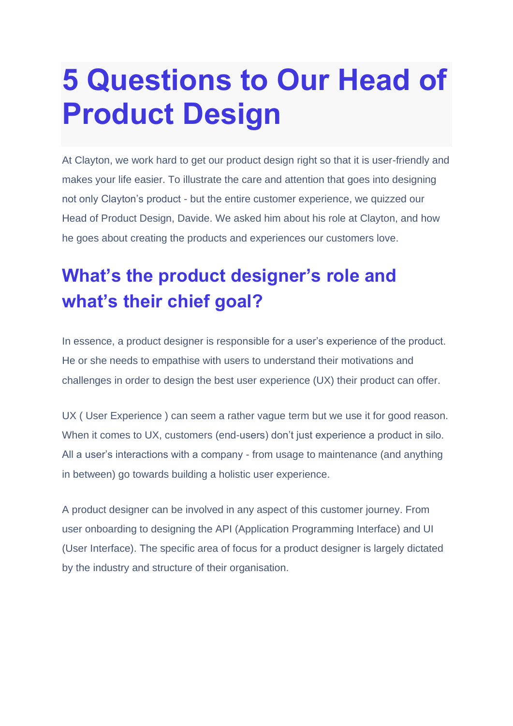# **5 Questions to Our Head of Product Design**

At Clayton, we work hard to get our product design right so that it is user-friendly and makes your life easier. To illustrate the care and attention that goes into designing not only Clayton's product - but the entire customer experience, we quizzed our Head of Product Design, Davide. We asked him about his role at Clayton, and how he goes about creating the products and experiences our customers love.

## **What's the product designer's role and what's their chief goal?**

In essence, a product designer is responsible for a user's experience of the product. He or she needs to empathise with users to understand their motivations and challenges in order to design the best user experience (UX) their product can offer.

UX ( User Experience ) can seem a rather vague term but we use it for good reason. When it comes to UX, customers (end-users) don't just experience a product in silo. All a user's interactions with a company - from usage to maintenance (and anything in between) go towards building a holistic user experience.

A product designer can be involved in any aspect of this customer journey. From user onboarding to designing the API (Application Programming Interface) and UI (User Interface). The specific area of focus for a product designer is largely dictated by the industry and structure of their organisation.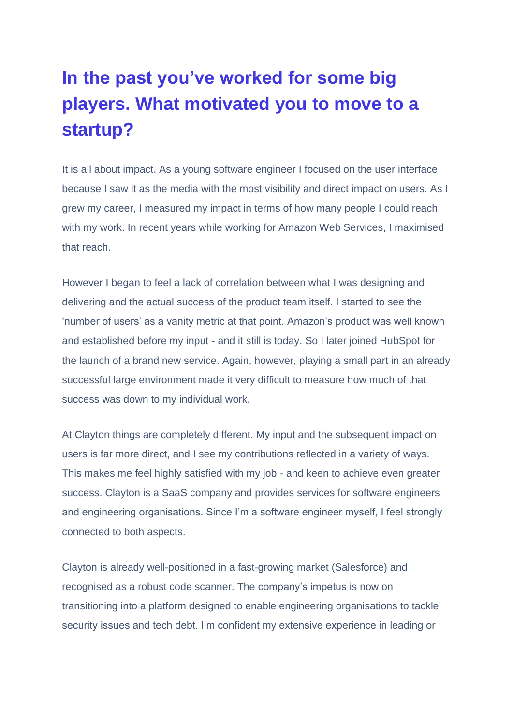## **In the past you've worked for some big players. What motivated you to move to a startup?**

It is all about impact. As a young software engineer I focused on the user interface because I saw it as the media with the most visibility and direct impact on users. As I grew my career, I measured my impact in terms of how many people I could reach with my work. In recent years while working for Amazon Web Services, I maximised that reach.

However I began to feel a lack of correlation between what I was designing and delivering and the actual success of the product team itself. I started to see the 'number of users' as a vanity metric at that point. Amazon's product was well known and established before my input - and it still is today. So I later joined HubSpot for the launch of a brand new service. Again, however, playing a small part in an already successful large environment made it very difficult to measure how much of that success was down to my individual work.

At Clayton things are completely different. My input and the subsequent impact on users is far more direct, and I see my contributions reflected in a variety of ways. This makes me feel highly satisfied with my job - and keen to achieve even greater success. Clayton is a SaaS company and provides services for software engineers and engineering organisations. Since I'm a software engineer myself, I feel strongly connected to both aspects.

Clayton is already well-positioned in a fast-growing market (Salesforce) and recognised as a robust code scanner. The company's impetus is now on transitioning into a platform designed to enable engineering organisations to tackle security issues and tech debt. I'm confident my extensive experience in leading or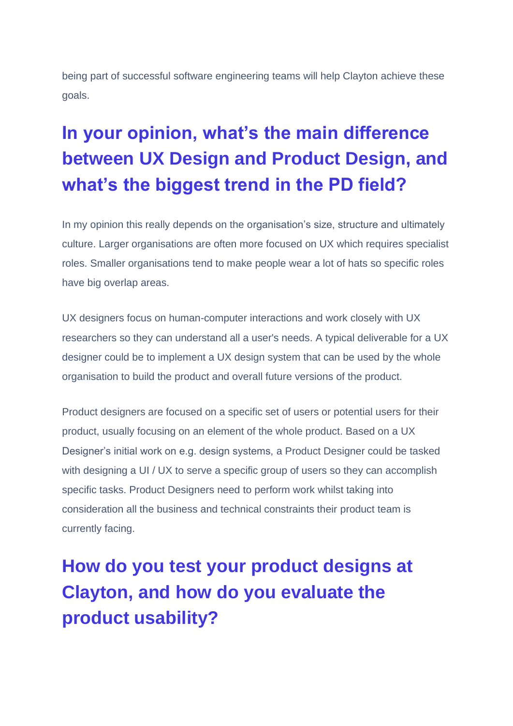being part of successful software engineering teams will help Clayton achieve these goals.

# **In your opinion, what's the main difference between UX Design and Product Design, and what's the biggest trend in the PD field?**

In my opinion this really depends on the organisation's size, structure and ultimately culture. Larger organisations are often more focused on UX which requires specialist roles. Smaller organisations tend to make people wear a lot of hats so specific roles have big overlap areas.

UX designers focus on human-computer interactions and work closely with UX researchers so they can understand all a user's needs. A typical deliverable for a UX designer could be to implement a UX design system that can be used by the whole organisation to build the product and overall future versions of the product.

Product designers are focused on a specific set of users or potential users for their product, usually focusing on an element of the whole product. Based on a UX Designer's initial work on e.g. design systems, a Product Designer could be tasked with designing a UI / UX to serve a specific group of users so they can accomplish specific tasks. Product Designers need to perform work whilst taking into consideration all the business and technical constraints their product team is currently facing.

**How do you test your product designs at Clayton, and how do you evaluate the product usability?**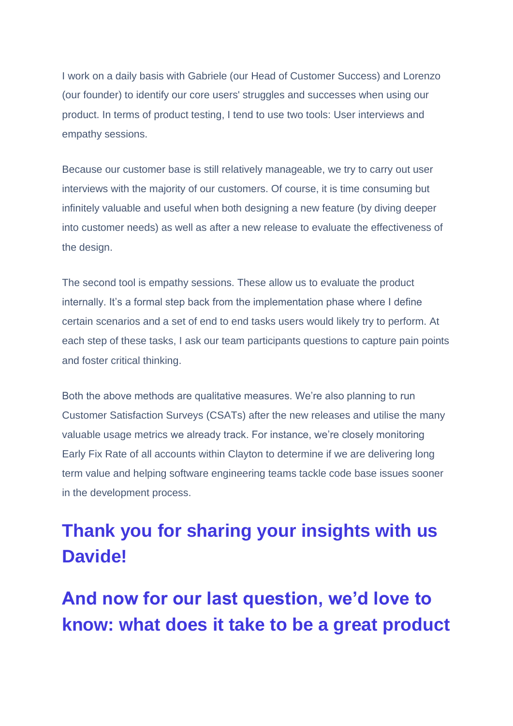I work on a daily basis with Gabriele (our Head of Customer Success) and Lorenzo (our founder) to identify our core users' struggles and successes when using our product. In terms of product testing, I tend to use two tools: User interviews and empathy sessions.

Because our customer base is still relatively manageable, we try to carry out user interviews with the majority of our customers. Of course, it is time consuming but infinitely valuable and useful when both designing a new feature (by diving deeper into customer needs) as well as after a new release to evaluate the effectiveness of the design.

The second tool is empathy sessions. These allow us to evaluate the product internally. It's a formal step back from the implementation phase where I define certain scenarios and a set of end to end tasks users would likely try to perform. At each step of these tasks, I ask our team participants questions to capture pain points and foster critical thinking.

Both the above methods are qualitative measures. We're also planning to run Customer Satisfaction Surveys (CSATs) after the new releases and utilise the many valuable usage metrics we already track. For instance, we're closely monitoring Early Fix Rate of all accounts within Clayton to determine if we are delivering long term value and helping software engineering teams tackle code base issues sooner in the development process.

### **Thank you for sharing your insights with us Davide!**

**And now for our last question, we'd love to know: what does it take to be a great product**